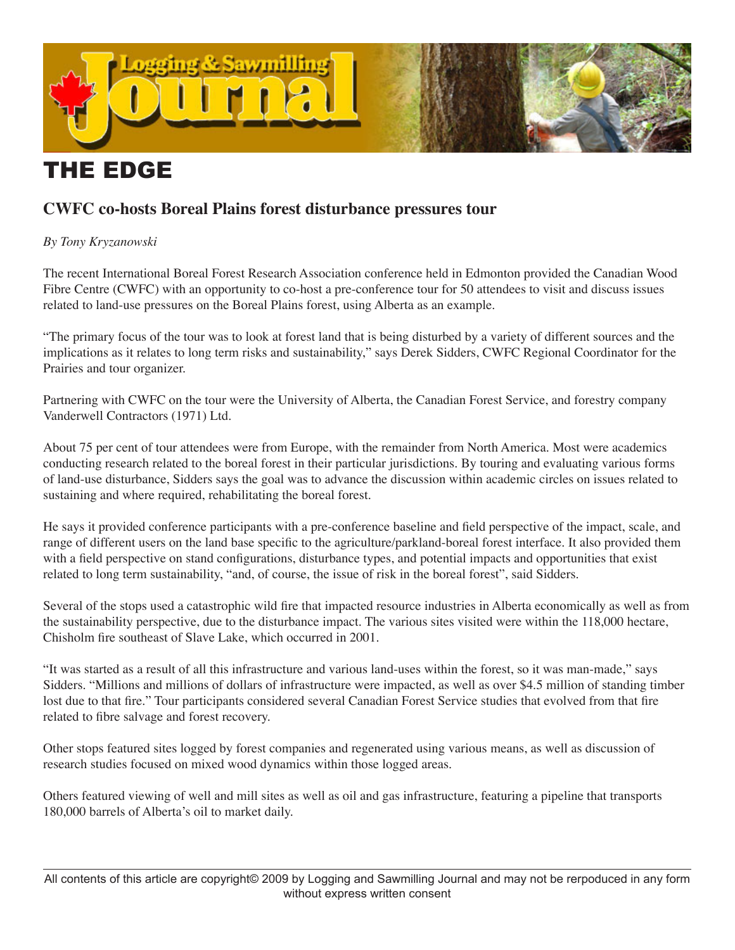

# THE EDGE

## **CWFC co-hosts Boreal Plains forest disturbance pressures tour**

### *By Tony Kryzanowski*

The recent International Boreal Forest Research Association conference held in Edmonton provided the Canadian Wood Fibre Centre (CWFC) with an opportunity to co-host a pre-conference tour for 50 attendees to visit and discuss issues related to land-use pressures on the Boreal Plains forest, using Alberta as an example.

"The primary focus of the tour was to look at forest land that is being disturbed by a variety of different sources and the implications as it relates to long term risks and sustainability," says Derek Sidders, CWFC Regional Coordinator for the Prairies and tour organizer.

Partnering with CWFC on the tour were the University of Alberta, the Canadian Forest Service, and forestry company Vanderwell Contractors (1971) Ltd.

About 75 per cent of tour attendees were from Europe, with the remainder from North America. Most were academics conducting research related to the boreal forest in their particular jurisdictions. By touring and evaluating various forms of land-use disturbance, Sidders says the goal was to advance the discussion within academic circles on issues related to sustaining and where required, rehabilitating the boreal forest.

He says it provided conference participants with a pre-conference baseline and field perspective of the impact, scale, and range of different users on the land base specific to the agriculture/parkland-boreal forest interface. It also provided them with a field perspective on stand configurations, disturbance types, and potential impacts and opportunities that exist related to long term sustainability, "and, of course, the issue of risk in the boreal forest", said Sidders.

Several of the stops used a catastrophic wild fire that impacted resource industries in Alberta economically as well as from the sustainability perspective, due to the disturbance impact. The various sites visited were within the 118,000 hectare, Chisholm fire southeast of Slave Lake, which occurred in 2001.

"It was started as a result of all this infrastructure and various land-uses within the forest, so it was man-made," says Sidders. "Millions and millions of dollars of infrastructure were impacted, as well as over \$4.5 million of standing timber lost due to that fire." Tour participants considered several Canadian Forest Service studies that evolved from that fire related to fibre salvage and forest recovery.

Other stops featured sites logged by forest companies and regenerated using various means, as well as discussion of research studies focused on mixed wood dynamics within those logged areas.

Others featured viewing of well and mill sites as well as oil and gas infrastructure, featuring a pipeline that transports 180,000 barrels of Alberta's oil to market daily.

All contents of this article are copyright© 2009 by Logging and Sawmilling Journal and may not be rerpoduced in any form without express written consent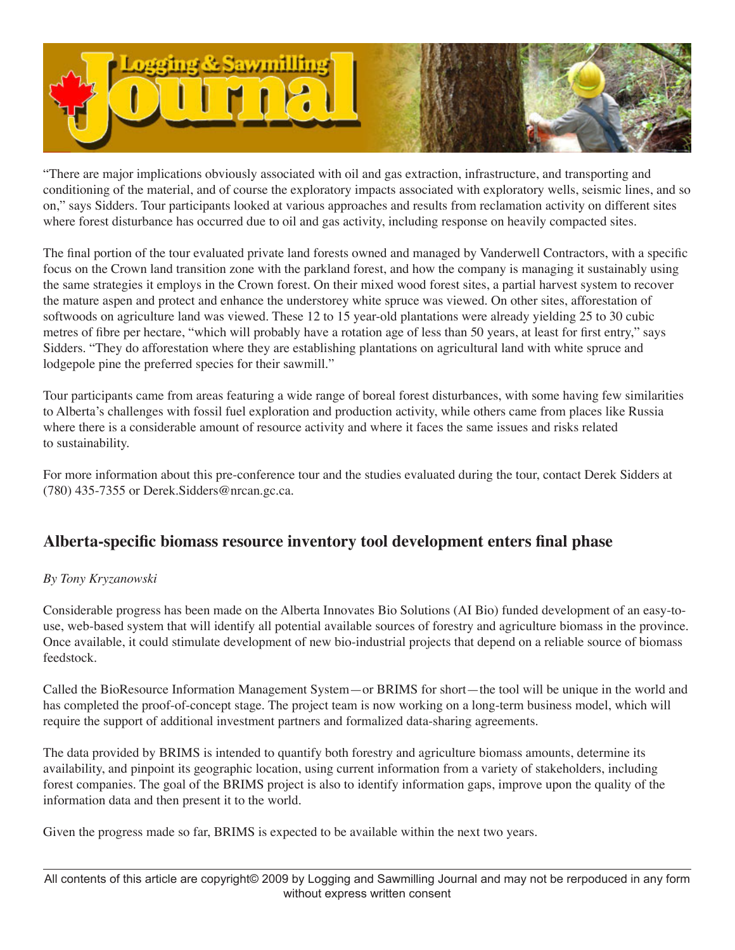

"There are major implications obviously associated with oil and gas extraction, infrastructure, and transporting and conditioning of the material, and of course the exploratory impacts associated with exploratory wells, seismic lines, and so on," says Sidders. Tour participants looked at various approaches and results from reclamation activity on different sites where forest disturbance has occurred due to oil and gas activity, including response on heavily compacted sites.

The final portion of the tour evaluated private land forests owned and managed by Vanderwell Contractors, with a specific focus on the Crown land transition zone with the parkland forest, and how the company is managing it sustainably using the same strategies it employs in the Crown forest. On their mixed wood forest sites, a partial harvest system to recover the mature aspen and protect and enhance the understorey white spruce was viewed. On other sites, afforestation of softwoods on agriculture land was viewed. These 12 to 15 year-old plantations were already yielding 25 to 30 cubic metres of fibre per hectare, "which will probably have a rotation age of less than 50 years, at least for first entry," says Sidders. "They do afforestation where they are establishing plantations on agricultural land with white spruce and lodgepole pine the preferred species for their sawmill."

Tour participants came from areas featuring a wide range of boreal forest disturbances, with some having few similarities to Alberta's challenges with fossil fuel exploration and production activity, while others came from places like Russia where there is a considerable amount of resource activity and where it faces the same issues and risks related to sustainability.

For more information about this pre-conference tour and the studies evaluated during the tour, contact Derek Sidders at (780) 435-7355 or Derek.Sidders@nrcan.gc.ca.

## **Alberta-specific biomass resource inventory tool development enters final phase**

#### *By Tony Kryzanowski*

Considerable progress has been made on the Alberta Innovates Bio Solutions (AI Bio) funded development of an easy-touse, web-based system that will identify all potential available sources of forestry and agriculture biomass in the province. Once available, it could stimulate development of new bio-industrial projects that depend on a reliable source of biomass feedstock.

Called the BioResource Information Management System—or BRIMS for short—the tool will be unique in the world and has completed the proof-of-concept stage. The project team is now working on a long-term business model, which will require the support of additional investment partners and formalized data-sharing agreements.

The data provided by BRIMS is intended to quantify both forestry and agriculture biomass amounts, determine its availability, and pinpoint its geographic location, using current information from a variety of stakeholders, including forest companies. The goal of the BRIMS project is also to identify information gaps, improve upon the quality of the information data and then present it to the world.

Given the progress made so far, BRIMS is expected to be available within the next two years.

All contents of this article are copyright© 2009 by Logging and Sawmilling Journal and may not be rerpoduced in any form without express written consent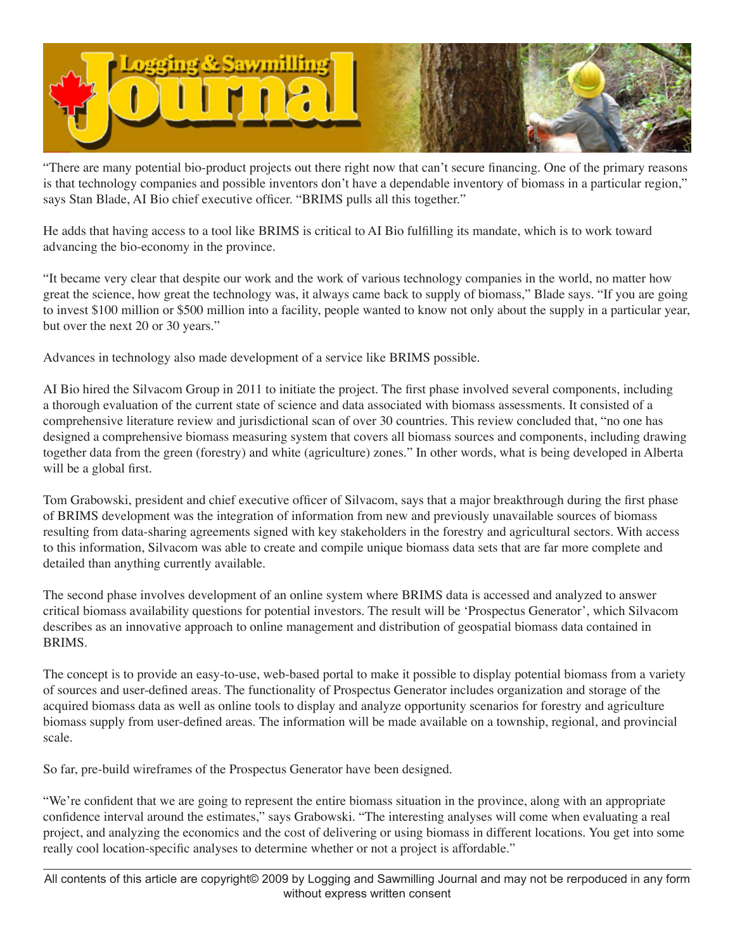

"There are many potential bio-product projects out there right now that can't secure financing. One of the primary reasons is that technology companies and possible inventors don't have a dependable inventory of biomass in a particular region," says Stan Blade, AI Bio chief executive officer. "BRIMS pulls all this together."

He adds that having access to a tool like BRIMS is critical to AI Bio fulfilling its mandate, which is to work toward advancing the bio-economy in the province.

"It became very clear that despite our work and the work of various technology companies in the world, no matter how great the science, how great the technology was, it always came back to supply of biomass," Blade says. "If you are going to invest \$100 million or \$500 million into a facility, people wanted to know not only about the supply in a particular year, but over the next 20 or 30 years."

Advances in technology also made development of a service like BRIMS possible.

AI Bio hired the Silvacom Group in 2011 to initiate the project. The first phase involved several components, including a thorough evaluation of the current state of science and data associated with biomass assessments. It consisted of a comprehensive literature review and jurisdictional scan of over 30 countries. This review concluded that, "no one has designed a comprehensive biomass measuring system that covers all biomass sources and components, including drawing together data from the green (forestry) and white (agriculture) zones." In other words, what is being developed in Alberta will be a global first.

Tom Grabowski, president and chief executive officer of Silvacom, says that a major breakthrough during the first phase of BRIMS development was the integration of information from new and previously unavailable sources of biomass resulting from data-sharing agreements signed with key stakeholders in the forestry and agricultural sectors. With access to this information, Silvacom was able to create and compile unique biomass data sets that are far more complete and detailed than anything currently available.

The second phase involves development of an online system where BRIMS data is accessed and analyzed to answer critical biomass availability questions for potential investors. The result will be 'Prospectus Generator', which Silvacom describes as an innovative approach to online management and distribution of geospatial biomass data contained in BRIMS.

The concept is to provide an easy-to-use, web-based portal to make it possible to display potential biomass from a variety of sources and user-defined areas. The functionality of Prospectus Generator includes organization and storage of the acquired biomass data as well as online tools to display and analyze opportunity scenarios for forestry and agriculture biomass supply from user-defined areas. The information will be made available on a township, regional, and provincial scale.

So far, pre-build wireframes of the Prospectus Generator have been designed.

"We're confident that we are going to represent the entire biomass situation in the province, along with an appropriate confidence interval around the estimates," says Grabowski. "The interesting analyses will come when evaluating a real project, and analyzing the economics and the cost of delivering or using biomass in different locations. You get into some really cool location-specific analyses to determine whether or not a project is affordable."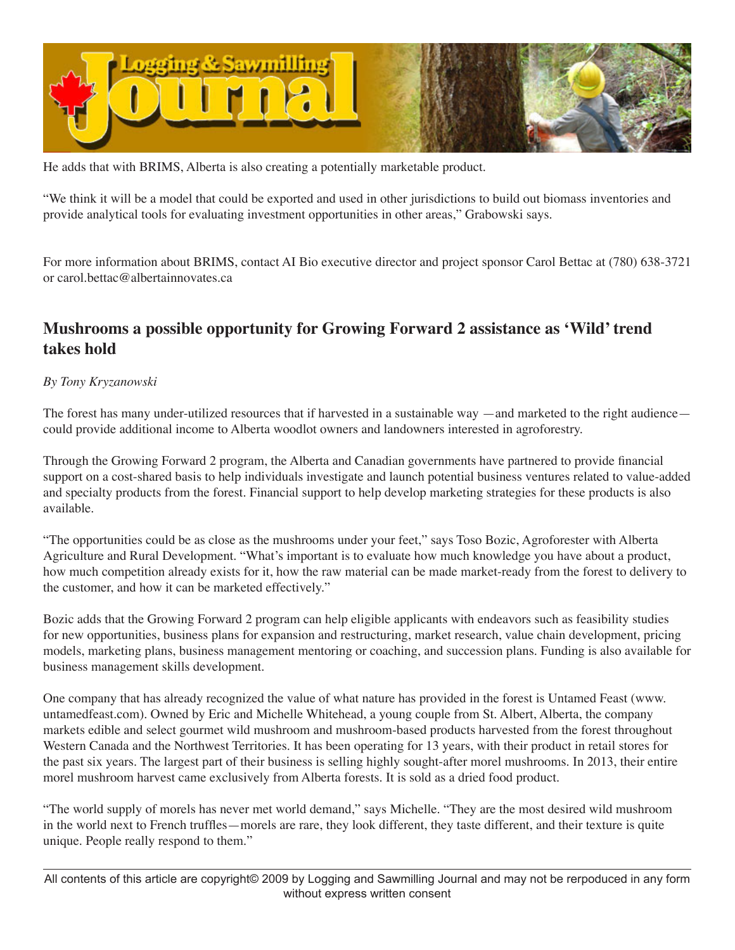

He adds that with BRIMS, Alberta is also creating a potentially marketable product.

"We think it will be a model that could be exported and used in other jurisdictions to build out biomass inventories and provide analytical tools for evaluating investment opportunities in other areas," Grabowski says.

For more information about BRIMS, contact AI Bio executive director and project sponsor Carol Bettac at (780) 638-3721 or carol.bettac@albertainnovates.ca

## **Mushrooms a possible opportunity for Growing Forward 2 assistance as 'Wild' trend takes hold**

#### *By Tony Kryzanowski*

The forest has many under-utilized resources that if harvested in a sustainable way —and marketed to the right audience could provide additional income to Alberta woodlot owners and landowners interested in agroforestry.

Through the Growing Forward 2 program, the Alberta and Canadian governments have partnered to provide financial support on a cost-shared basis to help individuals investigate and launch potential business ventures related to value-added and specialty products from the forest. Financial support to help develop marketing strategies for these products is also available.

"The opportunities could be as close as the mushrooms under your feet," says Toso Bozic, Agroforester with Alberta Agriculture and Rural Development. "What's important is to evaluate how much knowledge you have about a product, how much competition already exists for it, how the raw material can be made market-ready from the forest to delivery to the customer, and how it can be marketed effectively."

Bozic adds that the Growing Forward 2 program can help eligible applicants with endeavors such as feasibility studies for new opportunities, business plans for expansion and restructuring, market research, value chain development, pricing models, marketing plans, business management mentoring or coaching, and succession plans. Funding is also available for business management skills development.

One company that has already recognized the value of what nature has provided in the forest is Untamed Feast (www. untamedfeast.com). Owned by Eric and Michelle Whitehead, a young couple from St. Albert, Alberta, the company markets edible and select gourmet wild mushroom and mushroom-based products harvested from the forest throughout Western Canada and the Northwest Territories. It has been operating for 13 years, with their product in retail stores for the past six years. The largest part of their business is selling highly sought-after morel mushrooms. In 2013, their entire morel mushroom harvest came exclusively from Alberta forests. It is sold as a dried food product.

"The world supply of morels has never met world demand," says Michelle. "They are the most desired wild mushroom in the world next to French truffles—morels are rare, they look different, they taste different, and their texture is quite unique. People really respond to them."

All contents of this article are copyright© 2009 by Logging and Sawmilling Journal and may not be rerpoduced in any form without express written consent